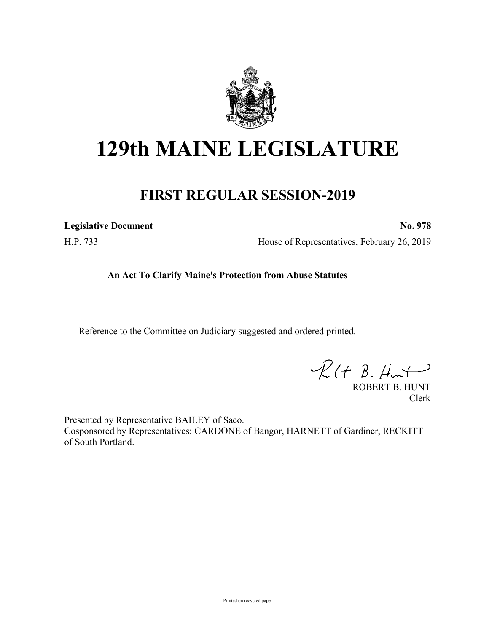

## **129th MAINE LEGISLATURE**

## **FIRST REGULAR SESSION-2019**

**Legislative Document No. 978**

H.P. 733 House of Representatives, February 26, 2019

**An Act To Clarify Maine's Protection from Abuse Statutes**

Reference to the Committee on Judiciary suggested and ordered printed.

 $\mathcal{R}(t \; \mathcal{B}, \#m)$ 

ROBERT B. HUNT Clerk

Presented by Representative BAILEY of Saco. Cosponsored by Representatives: CARDONE of Bangor, HARNETT of Gardiner, RECKITT of South Portland.